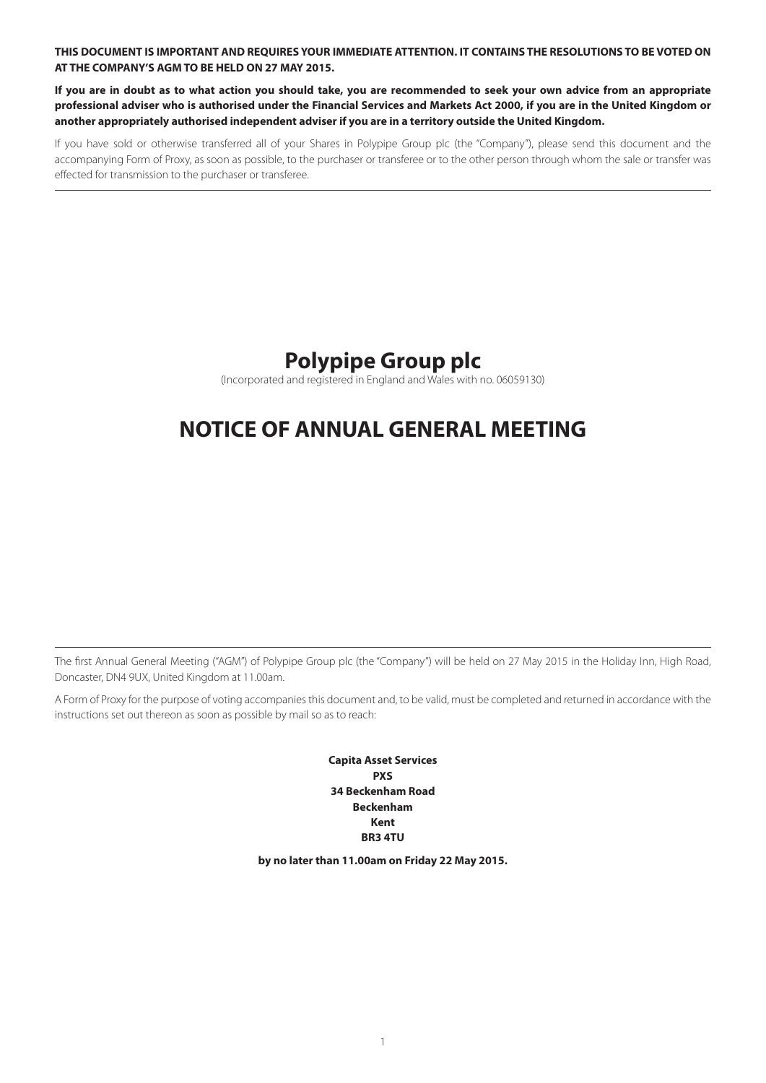**THIS DOCUMENT IS IMPORTANT AND REQUIRES YOUR IMMEDIATE ATTENTION. IT CONTAINS THE RESOLUTIONS TO BE VOTED ON AT THE COMPANY'S AGM TO BE HELD ON 27 MAY 2015.**

**If you are in doubt as to what action you should take, you are recommended to seek your own advice from an appropriate professional adviser who is authorised under the Financial Services and Markets Act 2000, if you are in the United Kingdom or another appropriately authorised independent adviser if you are in a territory outside the United Kingdom.**

If you have sold or otherwise transferred all of your Shares in Polypipe Group plc (the "Company"), please send this document and the accompanying Form of Proxy, as soon as possible, to the purchaser or transferee or to the other person through whom the sale or transfer was effected for transmission to the purchaser or transferee.

# **Polypipe Group plc**

(Incorporated and registered in England and Wales with no. 06059130)

# **NOTICE OF ANNUAL GENERAL MEETING**

The first Annual General Meeting ("AGM") of Polypipe Group plc (the "Company") will be held on 27 May 2015 in the Holiday Inn, High Road, Doncaster, DN4 9UX, United Kingdom at 11.00am.

A Form of Proxy for the purpose of voting accompanies this document and, to be valid, must be completed and returned in accordance with the instructions set out thereon as soon as possible by mail so as to reach:

> **Capita Asset Services PXS 34 Beckenham Road Beckenham Kent BR3 4TU**

**by no later than 11.00am on Friday 22 May 2015.**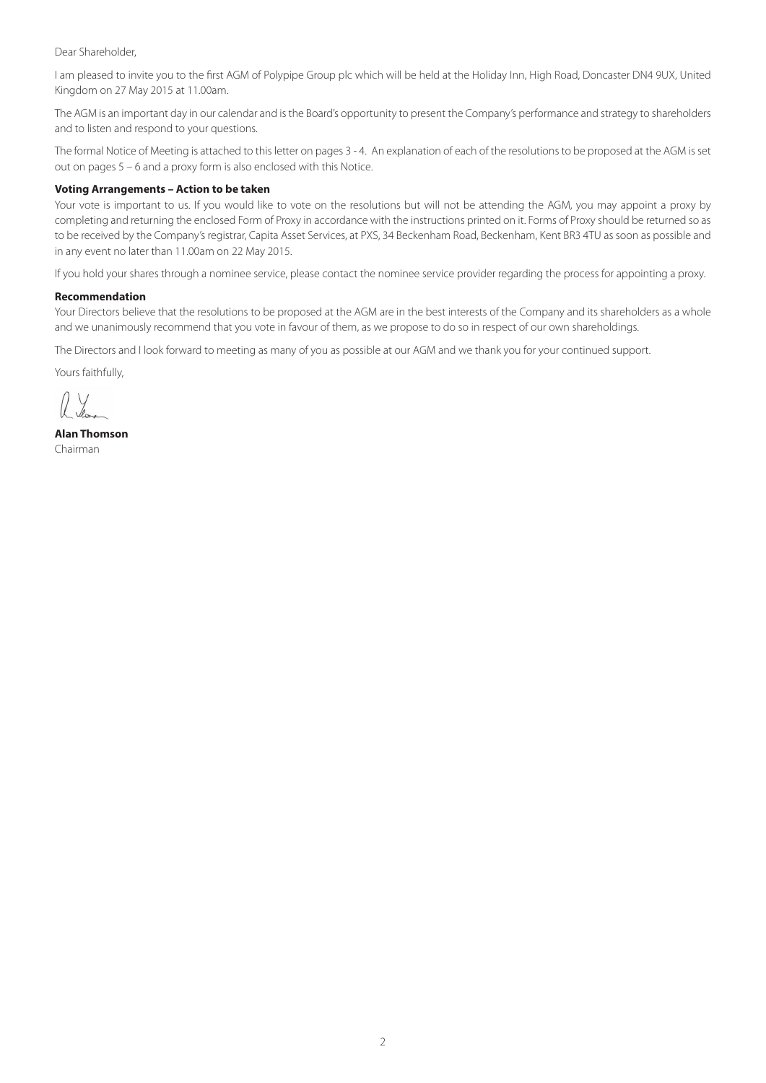#### Dear Shareholder,

I am pleased to invite you to the first AGM of Polypipe Group plc which will be held at the Holiday Inn, High Road, Doncaster DN4 9UX, United Kingdom on 27 May 2015 at 11.00am.

The AGM is an important day in our calendar and is the Board's opportunity to present the Company's performance and strategy to shareholders and to listen and respond to your questions.

The formal Notice of Meeting is attached to this letter on pages 3 - 4. An explanation of each of the resolutions to be proposed at the AGM is set out on pages 5 – 6 and a proxy form is also enclosed with this Notice.

# **Voting Arrangements – Action to be taken**

Your vote is important to us. If you would like to vote on the resolutions but will not be attending the AGM, you may appoint a proxy by completing and returning the enclosed Form of Proxy in accordance with the instructions printed on it. Forms of Proxy should be returned so as to be received by the Company's registrar, Capita Asset Services, at PXS, 34 Beckenham Road, Beckenham, Kent BR3 4TU as soon as possible and in any event no later than 11.00am on 22 May 2015.

If you hold your shares through a nominee service, please contact the nominee service provider regarding the process for appointing a proxy.

#### **Recommendation**

Your Directors believe that the resolutions to be proposed at the AGM are in the best interests of the Company and its shareholders as a whole and we unanimously recommend that you vote in favour of them, as we propose to do so in respect of our own shareholdings.

The Directors and I look forward to meeting as many of you as possible at our AGM and we thank you for your continued support.

Yours faithfully,

**Alan Thomson** Chairman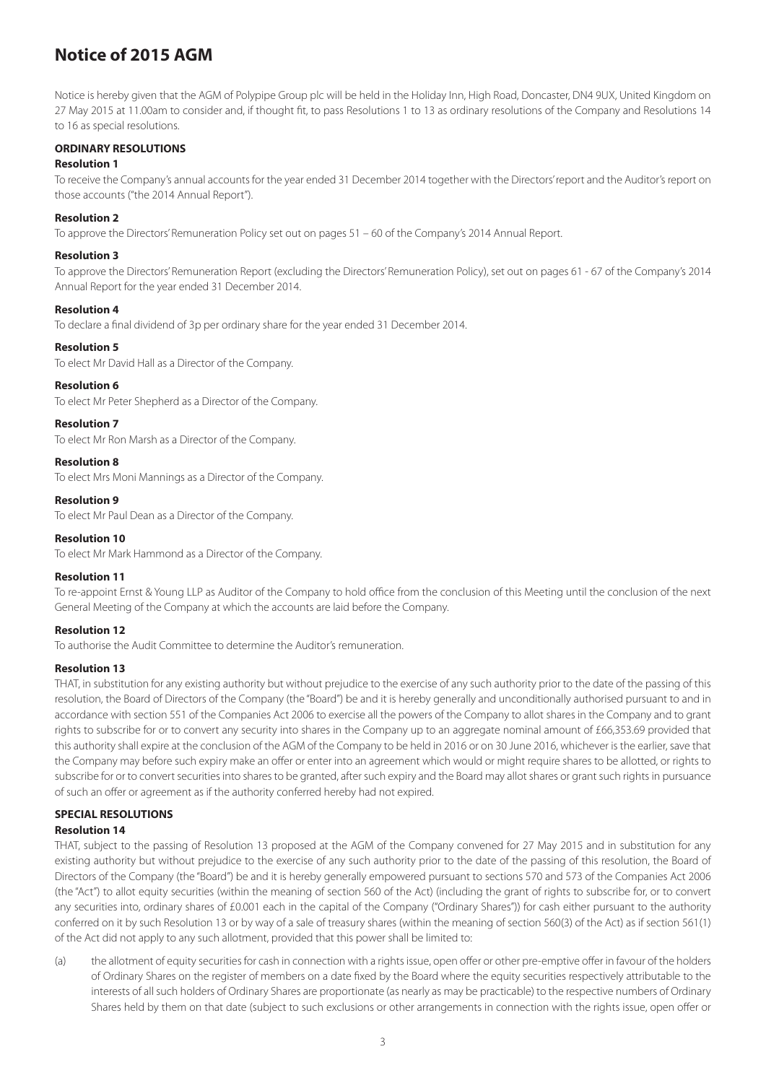# **Notice of 2015 AGM**

Notice is hereby given that the AGM of Polypipe Group plc will be held in the Holiday Inn, High Road, Doncaster, DN4 9UX, United Kingdom on 27 May 2015 at 11.00am to consider and, if thought fit, to pass Resolutions 1 to 13 as ordinary resolutions of the Company and Resolutions 14 to 16 as special resolutions.

# **ORDINARY RESOLUTIONS**

# **Resolution 1**

To receive the Company's annual accounts for the year ended 31 December 2014 together with the Directors' report and the Auditor's report on those accounts ("the 2014 Annual Report").

# **Resolution 2**

To approve the Directors' Remuneration Policy set out on pages 51 – 60 of the Company's 2014 Annual Report.

#### **Resolution 3**

To approve the Directors' Remuneration Report (excluding the Directors' Remuneration Policy), set out on pages 61 - 67 of the Company's 2014 Annual Report for the year ended 31 December 2014.

#### **Resolution 4**

To declare a final dividend of 3p per ordinary share for the year ended 31 December 2014.

# **Resolution 5**

To elect Mr David Hall as a Director of the Company.

#### **Resolution 6**

To elect Mr Peter Shepherd as a Director of the Company.

# **Resolution 7**

To elect Mr Ron Marsh as a Director of the Company.

# **Resolution 8**

To elect Mrs Moni Mannings as a Director of the Company.

#### **Resolution 9**

To elect Mr Paul Dean as a Director of the Company.

# **Resolution 10**

To elect Mr Mark Hammond as a Director of the Company.

# **Resolution 11**

To re-appoint Ernst & Young LLP as Auditor of the Company to hold office from the conclusion of this Meeting until the conclusion of the next General Meeting of the Company at which the accounts are laid before the Company.

# **Resolution 12**

To authorise the Audit Committee to determine the Auditor's remuneration.

# **Resolution 13**

THAT, in substitution for any existing authority but without prejudice to the exercise of any such authority prior to the date of the passing of this resolution, the Board of Directors of the Company (the "Board") be and it is hereby generally and unconditionally authorised pursuant to and in accordance with section 551 of the Companies Act 2006 to exercise all the powers of the Company to allot shares in the Company and to grant rights to subscribe for or to convert any security into shares in the Company up to an aggregate nominal amount of £66,353.69 provided that this authority shall expire at the conclusion of the AGM of the Company to be held in 2016 or on 30 June 2016, whichever is the earlier, save that the Company may before such expiry make an offer or enter into an agreement which would or might require shares to be allotted, or rights to subscribe for or to convert securities into shares to be granted, after such expiry and the Board may allot shares or grant such rights in pursuance of such an offer or agreement as if the authority conferred hereby had not expired.

# **SPECIAL RESOLUTIONS**

# **Resolution 14**

THAT, subject to the passing of Resolution 13 proposed at the AGM of the Company convened for 27 May 2015 and in substitution for any existing authority but without prejudice to the exercise of any such authority prior to the date of the passing of this resolution, the Board of Directors of the Company (the "Board") be and it is hereby generally empowered pursuant to sections 570 and 573 of the Companies Act 2006 (the "Act") to allot equity securities (within the meaning of section 560 of the Act) (including the grant of rights to subscribe for, or to convert any securities into, ordinary shares of £0.001 each in the capital of the Company ("Ordinary Shares")) for cash either pursuant to the authority conferred on it by such Resolution 13 or by way of a sale of treasury shares (within the meaning of section 560(3) of the Act) as if section 561(1) of the Act did not apply to any such allotment, provided that this power shall be limited to:

(a) the allotment of equity securities for cash in connection with a rights issue, open offer or other pre-emptive offer in favour of the holders of Ordinary Shares on the register of members on a date fixed by the Board where the equity securities respectively attributable to the interests of all such holders of Ordinary Shares are proportionate (as nearly as may be practicable) to the respective numbers of Ordinary Shares held by them on that date (subject to such exclusions or other arrangements in connection with the rights issue, open offer or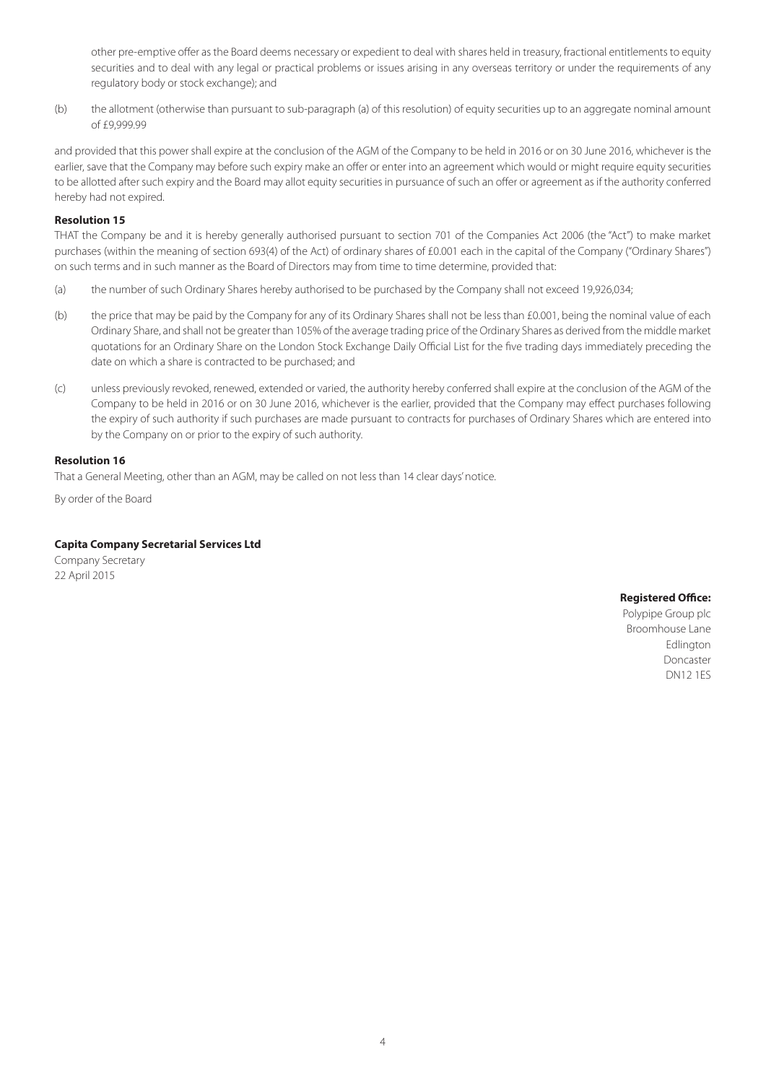other pre-emptive offer as the Board deems necessary or expedient to deal with shares held in treasury, fractional entitlements to equity securities and to deal with any legal or practical problems or issues arising in any overseas territory or under the requirements of any regulatory body or stock exchange); and

(b) the allotment (otherwise than pursuant to sub-paragraph (a) of this resolution) of equity securities up to an aggregate nominal amount of £9,999.99

and provided that this power shall expire at the conclusion of the AGM of the Company to be held in 2016 or on 30 June 2016, whichever is the earlier, save that the Company may before such expiry make an offer or enter into an agreement which would or might require equity securities to be allotted after such expiry and the Board may allot equity securities in pursuance of such an offer or agreement as if the authority conferred hereby had not expired.

#### **Resolution 15**

THAT the Company be and it is hereby generally authorised pursuant to section 701 of the Companies Act 2006 (the "Act") to make market purchases (within the meaning of section 693(4) of the Act) of ordinary shares of £0.001 each in the capital of the Company ("Ordinary Shares") on such terms and in such manner as the Board of Directors may from time to time determine, provided that:

- (a) the number of such Ordinary Shares hereby authorised to be purchased by the Company shall not exceed 19,926,034;
- (b) the price that may be paid by the Company for any of its Ordinary Shares shall not be less than £0.001, being the nominal value of each Ordinary Share, and shall not be greater than 105% of the average trading price of the Ordinary Shares as derived from the middle market quotations for an Ordinary Share on the London Stock Exchange Daily Official List for the five trading days immediately preceding the date on which a share is contracted to be purchased; and
- (c) unless previously revoked, renewed, extended or varied, the authority hereby conferred shall expire at the conclusion of the AGM of the Company to be held in 2016 or on 30 June 2016, whichever is the earlier, provided that the Company may effect purchases following the expiry of such authority if such purchases are made pursuant to contracts for purchases of Ordinary Shares which are entered into by the Company on or prior to the expiry of such authority.

#### **Resolution 16**

That a General Meeting, other than an AGM, may be called on not less than 14 clear days' notice.

By order of the Board

#### **Capita Company Secretarial Services Ltd**

Company Secretary 22 April 2015

**Registered Office:**

Polypipe Group plc Broomhouse Lane **Edlington** Doncaster DN12 1ES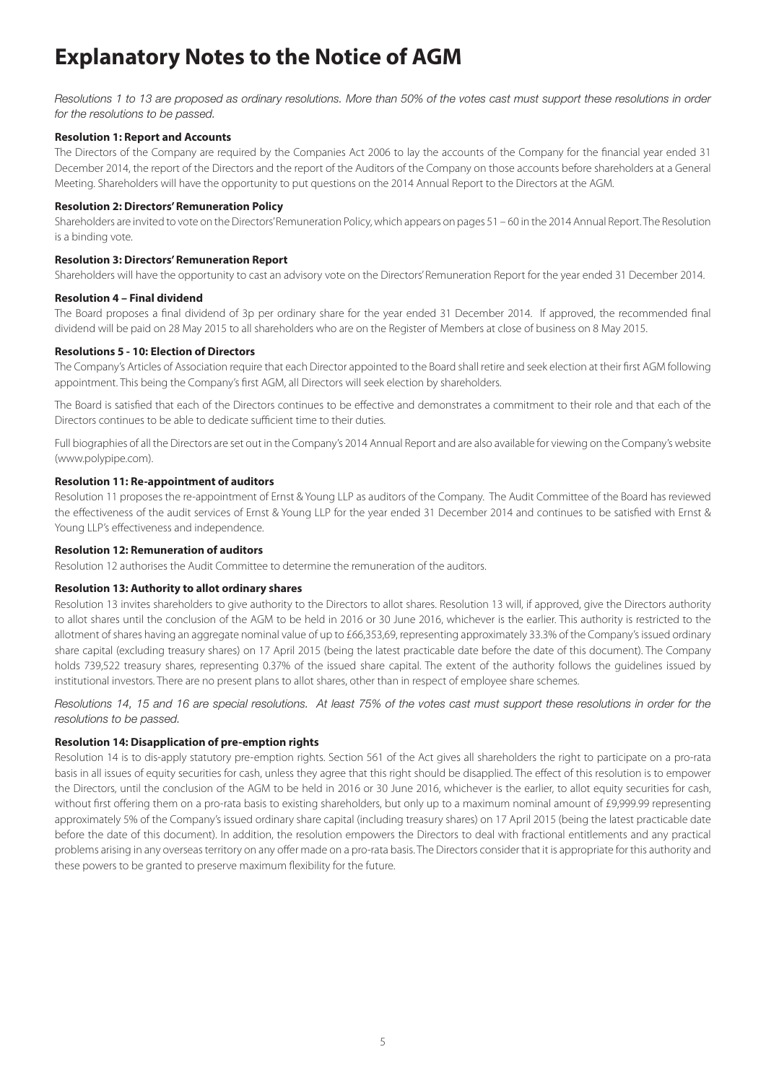# **Explanatory Notes to the Notice of AGM**

*Resolutions 1 to 13 are proposed as ordinary resolutions. More than 50% of the votes cast must support these resolutions in order for the resolutions to be passed.*

#### **Resolution 1: Report and Accounts**

The Directors of the Company are required by the Companies Act 2006 to lay the accounts of the Company for the financial year ended 31 December 2014, the report of the Directors and the report of the Auditors of the Company on those accounts before shareholders at a General Meeting. Shareholders will have the opportunity to put questions on the 2014 Annual Report to the Directors at the AGM.

#### **Resolution 2: Directors' Remuneration Policy**

Shareholders are invited to vote on the Directors' Remuneration Policy, which appears on pages 51 – 60 in the 2014 Annual Report. The Resolution is a binding vote.

#### **Resolution 3: Directors' Remuneration Report**

Shareholders will have the opportunity to cast an advisory vote on the Directors' Remuneration Report for the year ended 31 December 2014.

#### **Resolution 4 – Final dividend**

The Board proposes a final dividend of 3p per ordinary share for the year ended 31 December 2014. If approved, the recommended final dividend will be paid on 28 May 2015 to all shareholders who are on the Register of Members at close of business on 8 May 2015.

#### **Resolutions 5 - 10: Election of Directors**

The Company's Articles of Association require that each Director appointed to the Board shall retire and seek election at their first AGM following appointment. This being the Company's first AGM, all Directors will seek election by shareholders.

The Board is satisfied that each of the Directors continues to be effective and demonstrates a commitment to their role and that each of the Directors continues to be able to dedicate sufficient time to their duties.

Full biographies of all the Directors are set out in the Company's 2014 Annual Report and are also available for viewing on the Company's website (www.polypipe.com).

# **Resolution 11: Re-appointment of auditors**

Resolution 11 proposes the re-appointment of Ernst & Young LLP as auditors of the Company. The Audit Committee of the Board has reviewed the effectiveness of the audit services of Ernst & Young LLP for the year ended 31 December 2014 and continues to be satisfied with Ernst & Young LLP's effectiveness and independence.

#### **Resolution 12: Remuneration of auditors**

Resolution 12 authorises the Audit Committee to determine the remuneration of the auditors.

#### **Resolution 13: Authority to allot ordinary shares**

Resolution 13 invites shareholders to give authority to the Directors to allot shares. Resolution 13 will, if approved, give the Directors authority to allot shares until the conclusion of the AGM to be held in 2016 or 30 June 2016, whichever is the earlier. This authority is restricted to the allotment of shares having an aggregate nominal value of up to £66,353,69, representing approximately 33.3% of the Company's issued ordinary share capital (excluding treasury shares) on 17 April 2015 (being the latest practicable date before the date of this document). The Company holds 739,522 treasury shares, representing 0.37% of the issued share capital. The extent of the authority follows the guidelines issued by institutional investors. There are no present plans to allot shares, other than in respect of employee share schemes.

#### *Resolutions 14, 15 and 16 are special resolutions. At least 75% of the votes cast must support these resolutions in order for the resolutions to be passed.*

# **Resolution 14: Disapplication of pre-emption rights**

Resolution 14 is to dis-apply statutory pre-emption rights. Section 561 of the Act gives all shareholders the right to participate on a pro-rata basis in all issues of equity securities for cash, unless they agree that this right should be disapplied. The effect of this resolution is to empower the Directors, until the conclusion of the AGM to be held in 2016 or 30 June 2016, whichever is the earlier, to allot equity securities for cash, without first offering them on a pro-rata basis to existing shareholders, but only up to a maximum nominal amount of £9,999.99 representing approximately 5% of the Company's issued ordinary share capital (including treasury shares) on 17 April 2015 (being the latest practicable date before the date of this document). In addition, the resolution empowers the Directors to deal with fractional entitlements and any practical problems arising in any overseas territory on any offer made on a pro-rata basis. The Directors consider that it is appropriate for this authority and these powers to be granted to preserve maximum flexibility for the future.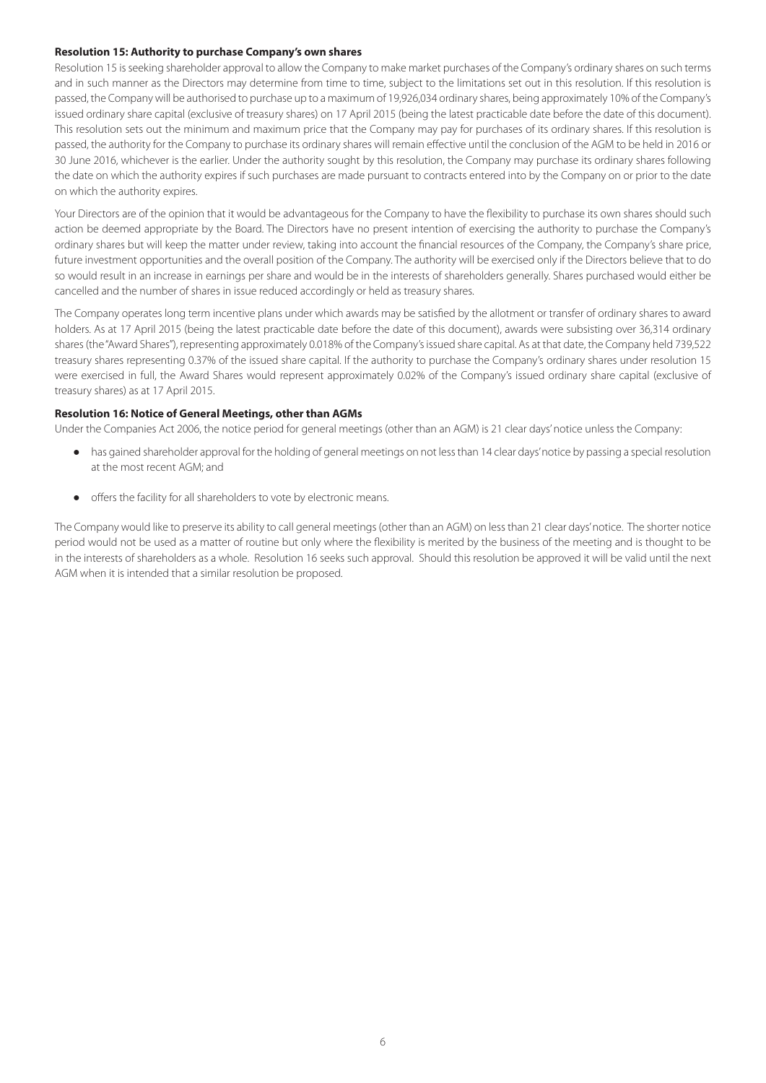#### **Resolution 15: Authority to purchase Company's own shares**

Resolution 15 is seeking shareholder approval to allow the Company to make market purchases of the Company's ordinary shares on such terms and in such manner as the Directors may determine from time to time, subject to the limitations set out in this resolution. If this resolution is passed, the Company will be authorised to purchase up to a maximum of 19,926,034 ordinary shares, being approximately 10% of the Company's issued ordinary share capital (exclusive of treasury shares) on 17 April 2015 (being the latest practicable date before the date of this document). This resolution sets out the minimum and maximum price that the Company may pay for purchases of its ordinary shares. If this resolution is passed, the authority for the Company to purchase its ordinary shares will remain effective until the conclusion of the AGM to be held in 2016 or 30 June 2016, whichever is the earlier. Under the authority sought by this resolution, the Company may purchase its ordinary shares following the date on which the authority expires if such purchases are made pursuant to contracts entered into by the Company on or prior to the date on which the authority expires.

Your Directors are of the opinion that it would be advantageous for the Company to have the flexibility to purchase its own shares should such action be deemed appropriate by the Board. The Directors have no present intention of exercising the authority to purchase the Company's ordinary shares but will keep the matter under review, taking into account the financial resources of the Company, the Company's share price, future investment opportunities and the overall position of the Company. The authority will be exercised only if the Directors believe that to do so would result in an increase in earnings per share and would be in the interests of shareholders generally. Shares purchased would either be cancelled and the number of shares in issue reduced accordingly or held as treasury shares.

The Company operates long term incentive plans under which awards may be satisfied by the allotment or transfer of ordinary shares to award holders. As at 17 April 2015 (being the latest practicable date before the date of this document), awards were subsisting over 36,314 ordinary shares (the "Award Shares"), representing approximately 0.018% of the Company's issued share capital. As at that date, the Company held 739,522 treasury shares representing 0.37% of the issued share capital. If the authority to purchase the Company's ordinary shares under resolution 15 were exercised in full, the Award Shares would represent approximately 0.02% of the Company's issued ordinary share capital (exclusive of treasury shares) as at 17 April 2015.

#### **Resolution 16: Notice of General Meetings, other than AGMs**

Under the Companies Act 2006, the notice period for general meetings (other than an AGM) is 21 clear days' notice unless the Company:

- has gained shareholder approval for the holding of general meetings on not less than 14 clear days' notice by passing a special resolution at the most recent AGM; and
- offers the facility for all shareholders to vote by electronic means.

The Company would like to preserve its ability to call general meetings (other than an AGM) on less than 21 clear days' notice. The shorter notice period would not be used as a matter of routine but only where the flexibility is merited by the business of the meeting and is thought to be in the interests of shareholders as a whole. Resolution 16 seeks such approval. Should this resolution be approved it will be valid until the next AGM when it is intended that a similar resolution be proposed.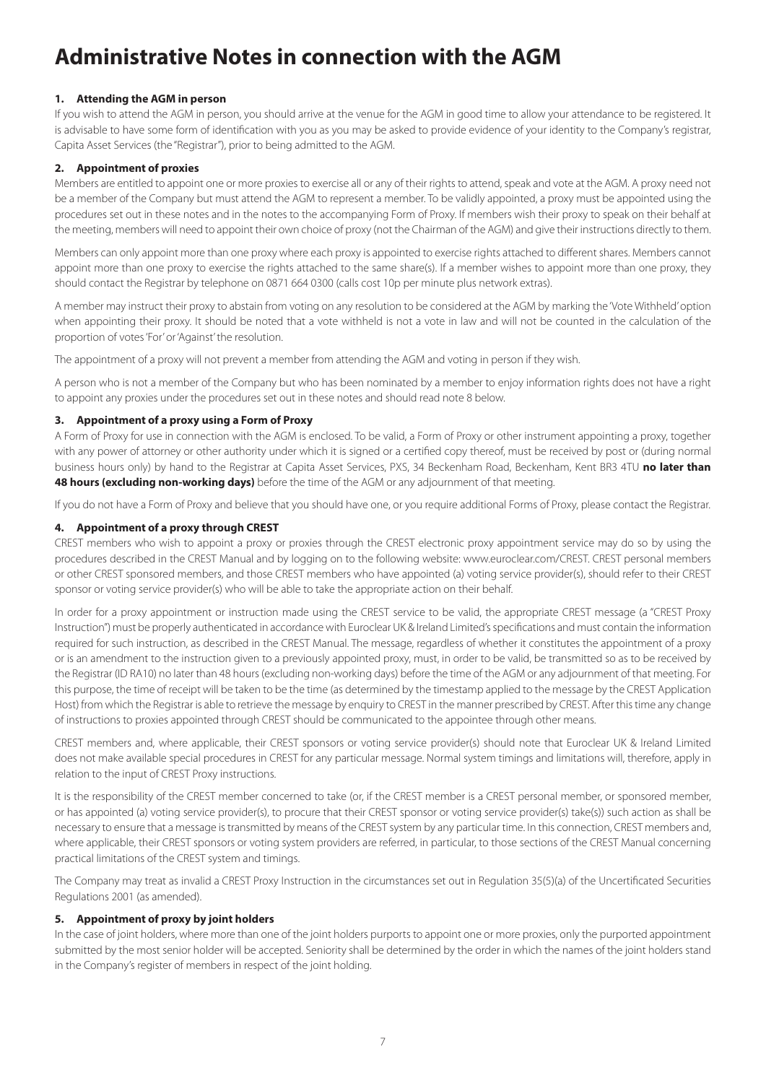# **Administrative Notes in connection with the AGM**

# **1. Attending the AGM in person**

If you wish to attend the AGM in person, you should arrive at the venue for the AGM in good time to allow your attendance to be registered. It is advisable to have some form of identification with you as you may be asked to provide evidence of your identity to the Company's registrar, Capita Asset Services (the "Registrar"), prior to being admitted to the AGM.

# **2. Appointment of proxies**

Members are entitled to appoint one or more proxies to exercise all or any of their rights to attend, speak and vote at the AGM. A proxy need not be a member of the Company but must attend the AGM to represent a member. To be validly appointed, a proxy must be appointed using the procedures set out in these notes and in the notes to the accompanying Form of Proxy. If members wish their proxy to speak on their behalf at the meeting, members will need to appoint their own choice of proxy (not the Chairman of the AGM) and give their instructions directly to them.

Members can only appoint more than one proxy where each proxy is appointed to exercise rights attached to different shares. Members cannot appoint more than one proxy to exercise the rights attached to the same share(s). If a member wishes to appoint more than one proxy, they should contact the Registrar by telephone on 0871 664 0300 (calls cost 10p per minute plus network extras).

A member may instruct their proxy to abstain from voting on any resolution to be considered at the AGM by marking the 'Vote Withheld' option when appointing their proxy. It should be noted that a vote withheld is not a vote in law and will not be counted in the calculation of the proportion of votes 'For' or 'Against' the resolution.

The appointment of a proxy will not prevent a member from attending the AGM and voting in person if they wish.

A person who is not a member of the Company but who has been nominated by a member to enjoy information rights does not have a right to appoint any proxies under the procedures set out in these notes and should read note 8 below.

# **3. Appointment of a proxy using a Form of Proxy**

A Form of Proxy for use in connection with the AGM is enclosed. To be valid, a Form of Proxy or other instrument appointing a proxy, together with any power of attorney or other authority under which it is signed or a certified copy thereof, must be received by post or (during normal business hours only) by hand to the Registrar at Capita Asset Services, PXS, 34 Beckenham Road, Beckenham, Kent BR3 4TU **no later than 48 hours (excluding non-working days)** before the time of the AGM or any adjournment of that meeting.

If you do not have a Form of Proxy and believe that you should have one, or you require additional Forms of Proxy, please contact the Registrar.

# **4. Appointment of a proxy through CREST**

CREST members who wish to appoint a proxy or proxies through the CREST electronic proxy appointment service may do so by using the procedures described in the CREST Manual and by logging on to the following website: www.euroclear.com/CREST. CREST personal members or other CREST sponsored members, and those CREST members who have appointed (a) voting service provider(s), should refer to their CREST sponsor or voting service provider(s) who will be able to take the appropriate action on their behalf.

In order for a proxy appointment or instruction made using the CREST service to be valid, the appropriate CREST message (a "CREST Proxy Instruction") must be properly authenticated in accordance with Euroclear UK & Ireland Limited's specifications and must contain the information required for such instruction, as described in the CREST Manual. The message, regardless of whether it constitutes the appointment of a proxy or is an amendment to the instruction given to a previously appointed proxy, must, in order to be valid, be transmitted so as to be received by the Registrar (ID RA10) no later than 48 hours (excluding non-working days) before the time of the AGM or any adjournment of that meeting. For this purpose, the time of receipt will be taken to be the time (as determined by the timestamp applied to the message by the CREST Application Host) from which the Registrar is able to retrieve the message by enquiry to CREST in the manner prescribed by CREST. After this time any change of instructions to proxies appointed through CREST should be communicated to the appointee through other means.

CREST members and, where applicable, their CREST sponsors or voting service provider(s) should note that Euroclear UK & Ireland Limited does not make available special procedures in CREST for any particular message. Normal system timings and limitations will, therefore, apply in relation to the input of CREST Proxy instructions.

It is the responsibility of the CREST member concerned to take (or, if the CREST member is a CREST personal member, or sponsored member, or has appointed (a) voting service provider(s), to procure that their CREST sponsor or voting service provider(s) take(s)) such action as shall be necessary to ensure that a message is transmitted by means of the CREST system by any particular time. In this connection, CREST members and, where applicable, their CREST sponsors or voting system providers are referred, in particular, to those sections of the CREST Manual concerning practical limitations of the CREST system and timings.

The Company may treat as invalid a CREST Proxy Instruction in the circumstances set out in Regulation 35(5)(a) of the Uncertificated Securities Regulations 2001 (as amended).

# **5. Appointment of proxy by joint holders**

In the case of joint holders, where more than one of the joint holders purports to appoint one or more proxies, only the purported appointment submitted by the most senior holder will be accepted. Seniority shall be determined by the order in which the names of the joint holders stand in the Company's register of members in respect of the joint holding.